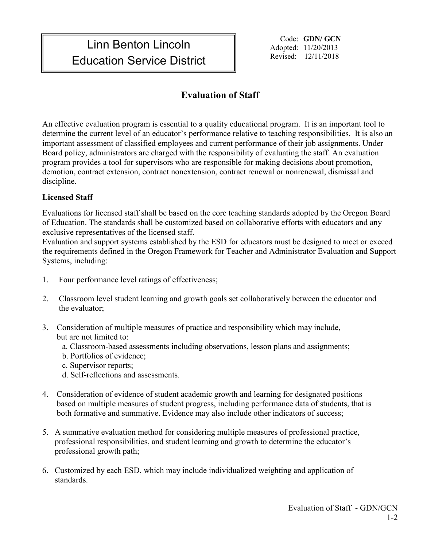# Linn Benton Lincoln **Education Service District** The Revised: 12/11/2018

Code: **GDN/ GCN** Adopted: 11/20/2013

# **Evaluation of Staff**

An effective evaluation program is essential to a quality educational program. It is an important tool to determine the current level of an educator's performance relative to teaching responsibilities. It is also an important assessment of classified employees and current performance of their job assignments. Under Board policy, administrators are charged with the responsibility of evaluating the staff. An evaluation program provides a tool for supervisors who are responsible for making decisions about promotion, demotion, contract extension, contract nonextension, contract renewal or nonrenewal, dismissal and discipline.

## **Licensed Staff**

Evaluations for licensed staff shall be based on the core teaching standards adopted by the Oregon Board of Education. The standards shall be customized based on collaborative efforts with educators and any exclusive representatives of the licensed staff.

Evaluation and support systems established by the ESD for educators must be designed to meet or exceed the requirements defined in the Oregon Framework for Teacher and Administrator Evaluation and Support Systems, including:

- 1. Four performance level ratings of effectiveness;
- 2. Classroom level student learning and growth goals set collaboratively between the educator and the evaluator;
- 3. Consideration of multiple measures of practice and responsibility which may include, but are not limited to:
	- a. Classroom-based assessments including observations, lesson plans and assignments;
	- b. Portfolios of evidence;
	- c. Supervisor reports;
	- d. Self-reflections and assessments.
- 4. Consideration of evidence of student academic growth and learning for designated positions based on multiple measures of student progress, including performance data of students, that is both formative and summative. Evidence may also include other indicators of success;
- 5. A summative evaluation method for considering multiple measures of professional practice, professional responsibilities, and student learning and growth to determine the educator's professional growth path;
- 6. Customized by each ESD, which may include individualized weighting and application of standards.